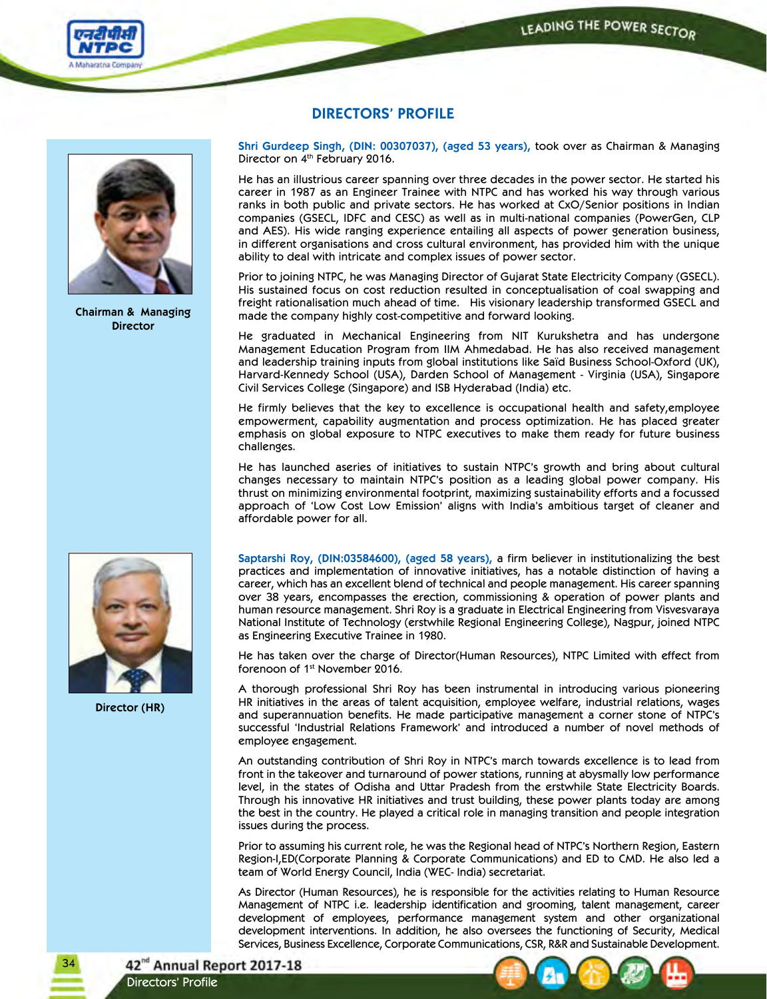



**Chairman & Managing Director**

## **DIRECTORS' PROFILE**

**Shri Gurdeep Singh, (DIN: 00307037), (aged 53 years),** took over as Chairman & Managing Director on 4<sup>th</sup> February 2016.

He has an illustrious career spanning over three decades in the power sector. He started his career in 1987 as an Engineer Trainee with NTPC and has worked his way through various ranks in both public and private sectors. He has worked at CxO/Senior positions in Indian companies (GSECL, IDFC and CESC) as well as in multi-national companies (PowerGen, CLP and AES). His wide ranging experience entailing all aspects of power generation business, in different organisations and cross cultural environment, has provided him with the unique ability to deal with intricate and complex issues of power sector.

Prior to joining NTPC, he was Managing Director of Gujarat State Electricity Company (GSECL). His sustained focus on cost reduction resulted in conceptualisation of coal swapping and freight rationalisation much ahead of time. His visionary leadership transformed GSECL and made the company highly cost-competitive and forward looking.

He graduated in Mechanical Engineering from NIT Kurukshetra and has undergone Management Education Program from IIM Ahmedabad. He has also received management and leadership training inputs from global institutions like Saïd Business School-Oxford (UK), Harvard-Kennedy School (USA), Darden School of Management - Virginia (USA), Singapore Civil Services College (Singapore) and ISB Hyderabad (India) etc.

He firmly believes that the key to excellence is occupational health and safety,employee empowerment, capability augmentation and process optimization. He has placed greater emphasis on global exposure to NTPC executives to make them ready for future business challenges.

He has launched aseries of initiatives to sustain NTPC's growth and bring about cultural changes necessary to maintain NTPC's position as a leading global power company. His thrust on minimizing environmental footprint, maximizing sustainability efforts and a focussed approach of 'Low Cost Low Emission' aligns with India's ambitious target of cleaner and affordable power for all.



**Director (HR)**

**Saptarshi Roy, (DIN:03584600), (aged 58 years),** a firm believer in institutionalizing the best practices and implementation of innovative initiatives, has a notable distinction of having a career, which has an excellent blend of technical and people management. His career spanning over 38 years, encompasses the erection, commissioning & operation of power plants and human resource management. Shri Roy is a graduate in Electrical Engineering from Visvesvaraya National Institute of Technology (erstwhile Regional Engineering College), Nagpur, joined NTPC as Engineering Executive Trainee in 1980.

He has taken over the charge of Director(Human Resources), NTPC Limited with effect from forenoon of 1st November 2016.

A thorough professional Shri Roy has been instrumental in introducing various pioneering HR initiatives in the areas of talent acquisition, employee welfare, industrial relations, wages and superannuation benefits. He made participative management a corner stone of NTPC's successful 'Industrial Relations Framework' and introduced a number of novel methods of employee engagement.

An outstanding contribution of Shri Roy in NTPC's march towards excellence is to lead from front in the takeover and turnaround of power stations, running at abysmally low performance level, in the states of Odisha and Uttar Pradesh from the erstwhile State Electricity Boards. Through his innovative HR initiatives and trust building, these power plants today are among the best in the country. He played a critical role in managing transition and people integration issues during the process.

Prior to assuming his current role, he was the Regional head of NTPC's Northern Region, Eastern Region-I,ED(Corporate Planning & Corporate Communications) and ED to CMD. He also led a team of World Energy Council, India (WEC- India) secretariat.

As Director (Human Resources), he is responsible for the activities relating to Human Resource Management of NTPC i.e. leadership identification and grooming, talent management, career development of employees, performance management system and other organizational development interventions. In addition, he also oversees the functioning of Security, Medical Services, Business Excellence, Corporate Communications, CSR, R&R and Sustainable Development.

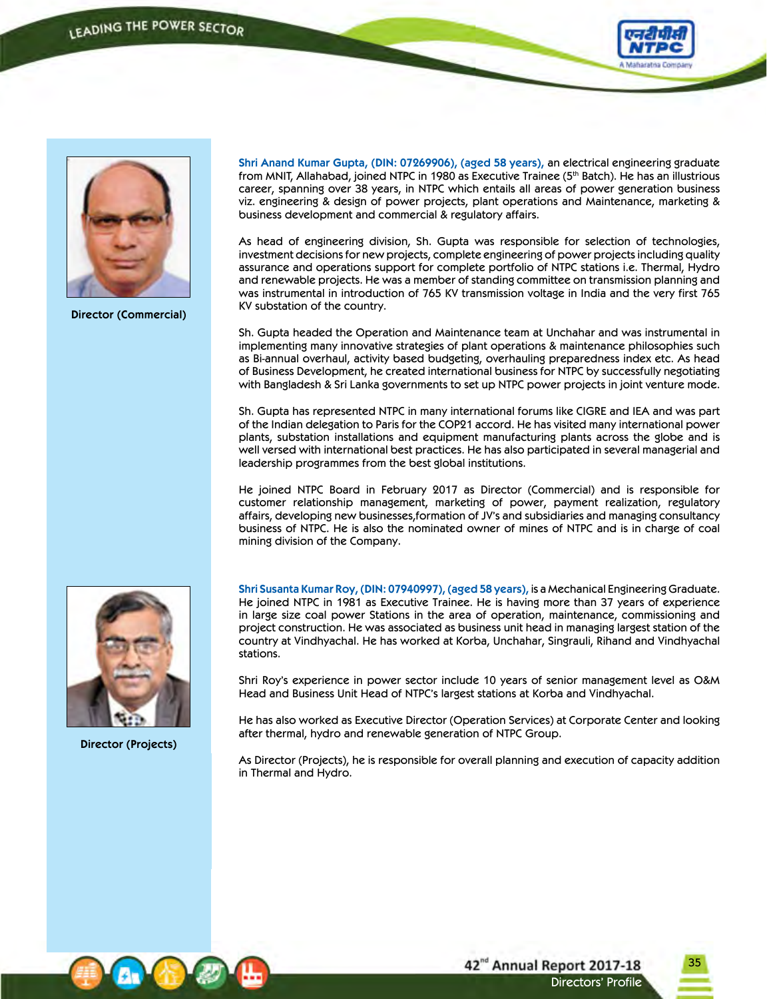



**Director (Commercial)**

**Shri Anand Kumar Gupta, (DIN: 07269906), (aged 58 years),** an electrical engineering graduate from MNIT, Allahabad, joined NTPC in 1980 as Executive Trainee (5th Batch). He has an illustrious career, spanning over 38 years, in NTPC which entails all areas of power generation business viz. engineering & design of power projects, plant operations and Maintenance, marketing & business development and commercial & regulatory affairs.

As head of engineering division, Sh. Gupta was responsible for selection of technologies, investment decisions for new projects, complete engineering of power projects including quality assurance and operations support for complete portfolio of NTPC stations i.e. Thermal, Hydro and renewable projects. He was a member of standing committee on transmission planning and was instrumental in introduction of 765 KV transmission voltage in India and the very first 765 KV substation of the country.

Sh. Gupta headed the Operation and Maintenance team at Unchahar and was instrumental in implementing many innovative strategies of plant operations & maintenance philosophies such as Bi-annual overhaul, activity based budgeting, overhauling preparedness index etc. As head of Business Development, he created international business for NTPC by successfully negotiating with Bangladesh & Sri Lanka governments to set up NTPC power projects in joint venture mode.

Sh. Gupta has represented NTPC in many international forums like CIGRE and IEA and was part of the Indian delegation to Paris for the COP21 accord. He has visited many international power plants, substation installations and equipment manufacturing plants across the globe and is well versed with international best practices. He has also participated in several managerial and leadership programmes from the best global institutions.

He joined NTPC Board in February 2017 as Director (Commercial) and is responsible for customer relationship management, marketing of power, payment realization, regulatory affairs, developing new businesses,formation of JV's and subsidiaries and managing consultancy business of NTPC. He is also the nominated owner of mines of NTPC and is in charge of coal mining division of the Company.



**Director (Projects)**

**Shri Susanta Kumar Roy,(DIN: 07940997),(aged58 years),** is a Mechanical Engineering Graduate. He joined NTPC in 1981 as Executive Trainee. He is having more than 37 years of experience in large size coal power Stations in the area of operation, maintenance, commissioning and project construction. He was associated as business unit head in managing largest station of the country at Vindhyachal. He has worked at Korba, Unchahar, Singrauli, Rihand and Vindhyachal stations.

Shri Roy's experience in power sector include 10 years of senior management level as O&M Head and Business Unit Head of NTPC's largest stations at Korba and Vindhyachal.

He has also worked as Executive Director (Operation Services) at Corporate Center and looking after thermal, hydro and renewable generation of NTPC Group.

As Director (Projects), he is responsible for overall planning and execution of capacity addition in Thermal and Hydro.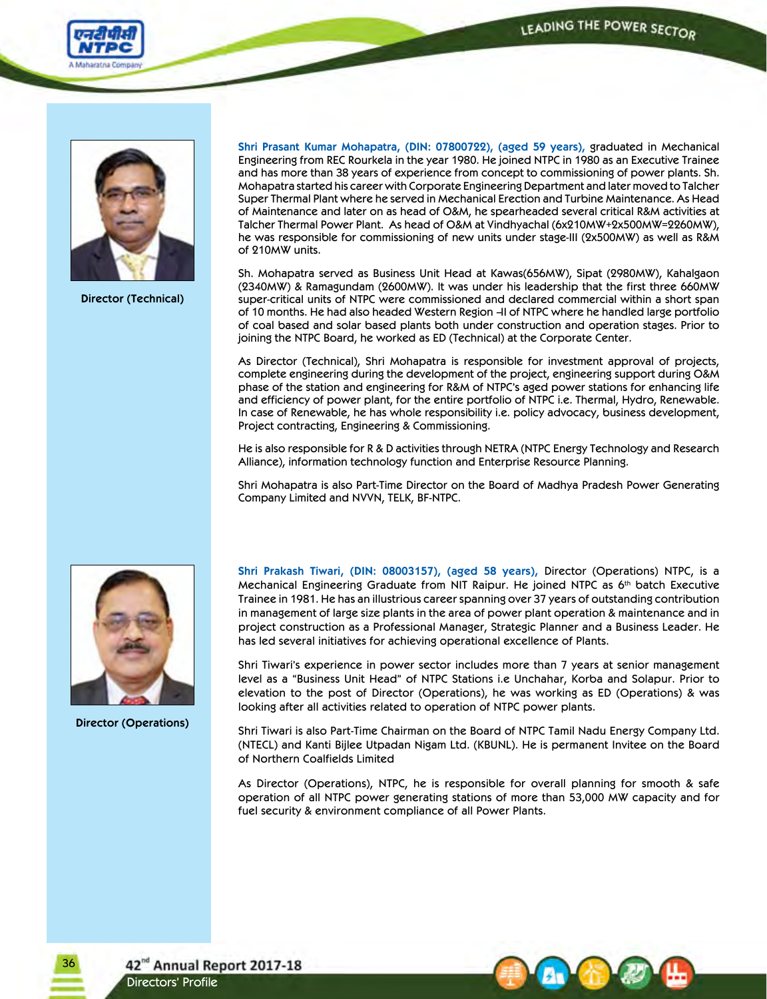



**Director (Technical)**

**Shri Prasant Kumar Mohapatra, (DIN: 07800722), (aged 59 years),** graduated in Mechanical Engineering from REC Rourkela in the year 1980. He joined NTPC in 1980 as an Executive Trainee and has more than 38 years of experience from concept to commissioning of power plants. Sh. Mohapatra started his career with Corporate Engineering Department and later moved to Talcher Super Thermal Plant where he served in Mechanical Erection and Turbine Maintenance. As Head of Maintenance and later on as head of O&M, he spearheaded several critical R&M activities at Talcher Thermal Power Plant. As head of O&M at Vindhyachal (6x210MW+2x500MW=2260MW), he was responsible for commissioning of new units under stage-III (2x500MW) as well as R&M of 210MW units.

Sh. Mohapatra served as Business Unit Head at Kawas(656MW), Sipat (2980MW), Kahalgaon (2340MW) & Ramagundam (2600MW). It was under his leadership that the first three 660MW super-critical units of NTPC were commissioned and declared commercial within a short span of 10 months. He had also headed Western Region –II of NTPC where he handled large portfolio of coal based and solar based plants both under construction and operation stages. Prior to joining the NTPC Board, he worked as ED (Technical) at the Corporate Center.

As Director (Technical), Shri Mohapatra is responsible for investment approval of projects, complete engineering during the development of the project, engineering support during O&M phase of the station and engineering for R&M of NTPC's aged power stations for enhancing life and efficiency of power plant, for the entire portfolio of NTPC i.e. Thermal, Hydro, Renewable. In case of Renewable, he has whole responsibility i.e. policy advocacy, business development, Project contracting, Engineering & Commissioning.

He is also responsible for R & D activities through NETRA (NTPC Energy Technology and Research Alliance), information technology function and Enterprise Resource Planning.

Shri Mohapatra is also Part-Time Director on the Board of Madhya Pradesh Power Generating Company Limited and NVVN, TELK, BF-NTPC.



**Director (Operations)**

**Shri Prakash Tiwari, (DIN: 08003157), (aged 58 years),** Director (Operations) NTPC, is a Mechanical Engineering Graduate from NIT Raipur. He joined NTPC as 6<sup>th</sup> batch Executive Trainee in 1981. He has an illustrious career spanning over 37 years of outstanding contribution in management of large size plants in the area of power plant operation & maintenance and in project construction as a Professional Manager, Strategic Planner and a Business Leader. He has led several initiatives for achieving operational excellence of Plants.

Shri Tiwari's experience in power sector includes more than 7 years at senior management level as a "Business Unit Head" of NTPC Stations i.e Unchahar, Korba and Solapur. Prior to elevation to the post of Director (Operations), he was working as ED (Operations) & was looking after all activities related to operation of NTPC power plants.

Shri Tiwari is also Part-Time Chairman on the Board of NTPC Tamil Nadu Energy Company Ltd. (NTECL) and Kanti Bijlee Utpadan Nigam Ltd. (KBUNL). He is permanent Invitee on the Board of Northern Coalfields Limited

As Director (Operations), NTPC, he is responsible for overall planning for smooth & safe operation of all NTPC power generating stations of more than 53,000 MW capacity and for fuel security & environment compliance of all Power Plants.



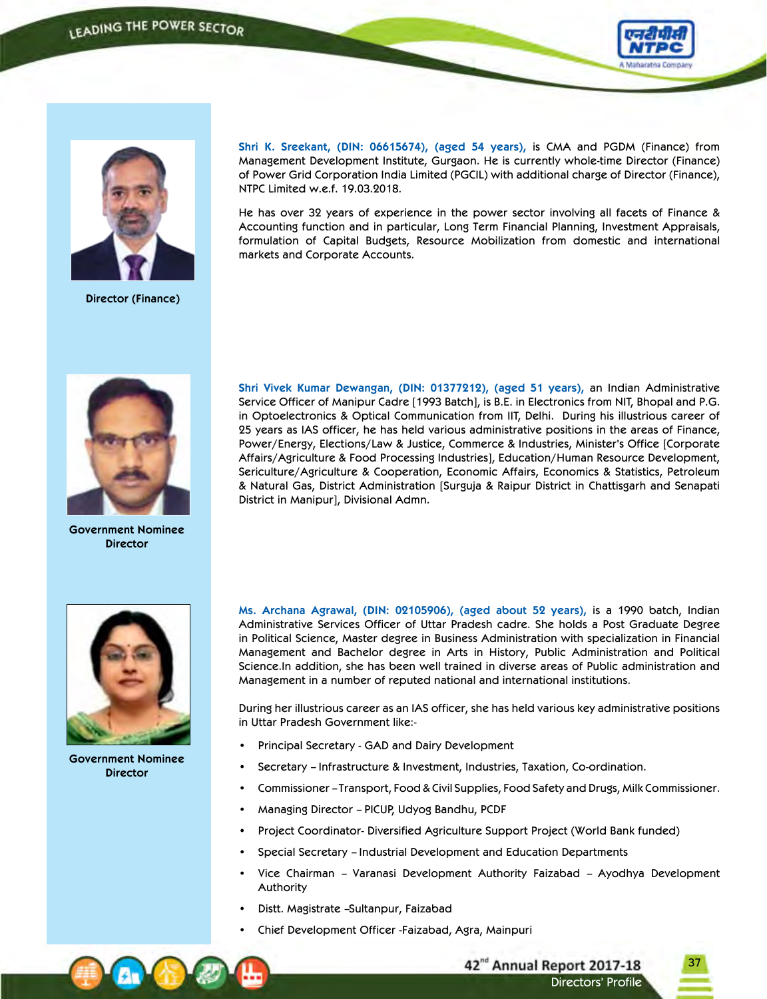

37

Directors' Profile

42<sup>nd</sup> Annual Report 2017-18



**Director (Finance)**

**Shri K. Sreekant, (DIN: 06615674), (aged 54 years),** is CMA and PGDM (Finance) from Management Development Institute, Gurgaon. He is currently whole-time Director (Finance) of Power Grid Corporation India Limited (PGCIL) with additional charge of Director (Finance), NTPC Limited w.e.f. 19.03.2018.

He has over 32 years of experience in the power sector involving all facets of Finance & Accounting function and in particular, Long Term Financial Planning, Investment Appraisals, formulation of Capital Budgets, Resource Mobilization from domestic and international markets and Corporate Accounts.



**Government Nominee Director**

**Shri Vivek Kumar Dewangan, (DIN: 01377212), (aged 51 years),** an Indian Administrative Service Officer of Manipur Cadre [1993 Batch], is B.E. in Electronics from NIT, Bhopal and P.G. in Optoelectronics & Optical Communication from IIT, Delhi. During his illustrious career of 25 years as IAS officer, he has held various administrative positions in the areas of Finance, Power/Energy, Elections/Law & Justice, Commerce & Industries, Minister's Office [Corporate Affairs/Agriculture & Food Processing Industries], Education/Human Resource Development, Sericulture/Agriculture & Cooperation, Economic Affairs, Economics & Statistics, Petroleum & Natural Gas, District Administration [Surguja & Raipur District in Chattisgarh and Senapati District in Manipur], Divisional Admn.



**Government Nominee Director**

**Ms. Archana Agrawal, (DIN: 02105906), (aged about 52 years),** is a 1990 batch, Indian Administrative Services Officer of Uttar Pradesh cadre. She holds a Post Graduate Degree in Political Science, Master degree in Business Administration with specialization in Financial Management and Bachelor degree in Arts in History, Public Administration and Political Science.In addition, she has been well trained in diverse areas of Public administration and Management in a number of reputed national and international institutions.

During her illustrious career as an IAS officer, she has held various key administrative positions in Uttar Pradesh Government like:-

- Principal Secretary GAD and Dairy Development
- Secretary Infrastructure & Investment, Industries, Taxation, Co-ordination.
- Commissioner Transport, Food & Civil Supplies, Food Safety and Drugs, Milk Commissioner.
- Managing Director PICUP, Udyog Bandhu, PCDF
- Project Coordinator- Diversified Agriculture Support Project (World Bank funded)
- Special Secretary Industrial Development and Education Departments
- Vice Chairman Varanasi Development Authority Faizabad Ayodhya Development Authority
- Distt. Magistrate -Sultanpur, Faizabad
- Chief Development Officer -Faizabad, Agra, Mainpuri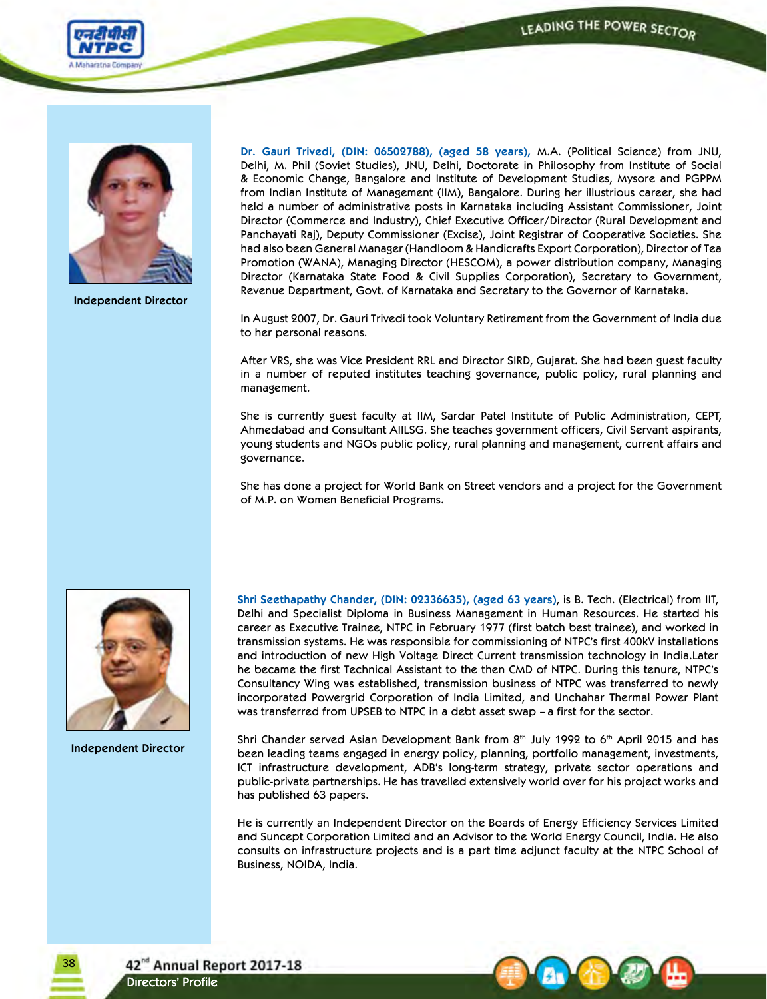



**Independent Director**

**Dr. Gauri Trivedi, (DIN: 06502788), (aged 58 years),** M.A. (Political Science) from JNU, Delhi, M. Phil (Soviet Studies), JNU, Delhi, Doctorate in Philosophy from Institute of Social & Economic Change, Bangalore and Institute of Development Studies, Mysore and PGPPM from Indian Institute of Management (IIM), Bangalore. During her illustrious career, she had held a number of administrative posts in Karnataka including Assistant Commissioner, Joint Director (Commerce and Industry), Chief Executive Officer/Director (Rural Development and Panchayati Raj), Deputy Commissioner (Excise), Joint Registrar of Cooperative Societies. She had also been General Manager (Handloom & Handicrafts Export Corporation), Director of Tea Promotion (WANA), Managing Director (HESCOM), a power distribution company, Managing Director (Karnataka State Food & Civil Supplies Corporation), Secretary to Government, Revenue Department, Govt. of Karnataka and Secretary to the Governor of Karnataka.

In August 2007, Dr. Gauri Trivedi took Voluntary Retirement from the Government of India due to her personal reasons.

After VRS, she was Vice President RRL and Director SIRD, Gujarat. She had been guest faculty in a number of reputed institutes teaching governance, public policy, rural planning and management.

She is currently guest faculty at IIM, Sardar Patel Institute of Public Administration, CEPT, Ahmedabad and Consultant AIILSG. She teaches government officers, Civil Servant aspirants, young students and NGOs public policy, rural planning and management, current affairs and governance.

She has done a project for World Bank on Street vendors and a project for the Government of M.P. on Women Beneficial Programs.



**Independent Director**

**Shri Seethapathy Chander, (DIN: 02336635), (aged 63 years)**, is B. Tech. (Electrical) from IIT, Delhi and Specialist Diploma in Business Management in Human Resources. He started his career as Executive Trainee, NTPC in February 1977 (first batch best trainee), and worked in transmission systems. He was responsible for commissioning of NTPC's first 400kV installations and introduction of new High Voltage Direct Current transmission technology in India.Later he became the first Technical Assistant to the then CMD of NTPC. During this tenure, NTPC's Consultancy Wing was established, transmission business of NTPC was transferred to newly incorporated Powergrid Corporation of India Limited, and Unchahar Thermal Power Plant was transferred from UPSEB to NTPC in a debt asset swap – a first for the sector.

Shri Chander served Asian Development Bank from  $8<sup>th</sup>$  July 1992 to  $6<sup>th</sup>$  April 2015 and has been leading teams engaged in energy policy, planning, portfolio management, investments, ICT infrastructure development, ADB's long-term strategy, private sector operations and public-private partnerships. He has travelled extensively world over for his project works and has published 63 papers.

He is currently an Independent Director on the Boards of Energy Efficiency Services Limited and Suncept Corporation Limited and an Advisor to the World Energy Council, India. He also consults on infrastructure projects and is a part time adjunct faculty at the NTPC School of Business, NOIDA, India.

42<sup>nd</sup> Annual Report 2017-18 Directors' Profile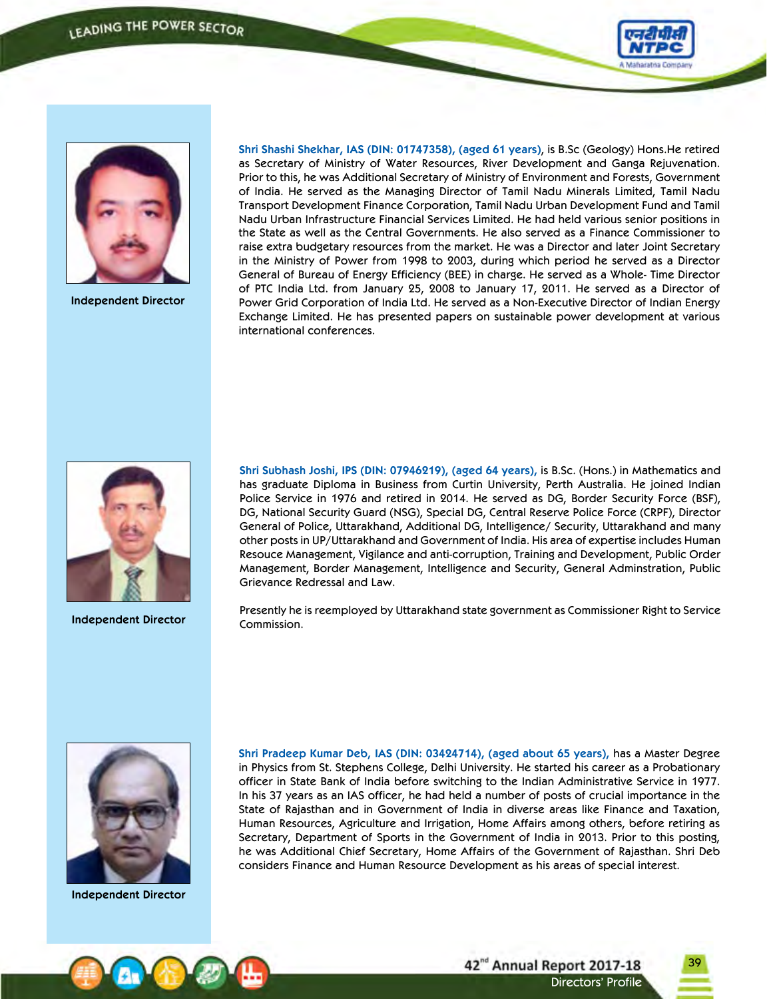



**Independent Director**

**Shri Shashi Shekhar, IAS (DIN: 01747358), (aged 61 years)**, is B.Sc (Geology) Hons.He retired as Secretary of Ministry of Water Resources, River Development and Ganga Rejuvenation. Prior to this, he was Additional Secretary of Ministry of Environment and Forests, Government of India. He served as the Managing Director of Tamil Nadu Minerals Limited, Tamil Nadu Transport Development Finance Corporation, Tamil Nadu Urban Development Fund and Tamil Nadu Urban Infrastructure Financial Services Limited. He had held various senior positions in the State as well as the Central Governments. He also served as a Finance Commissioner to raise extra budgetary resources from the market. He was a Director and later Joint Secretary in the Ministry of Power from 1998 to 2003, during which period he served as a Director General of Bureau of Energy Efficiency (BEE) in charge. He served as a Whole- Time Director of PTC India Ltd. from January 25, 2008 to January 17, 2011. He served as a Director of Power Grid Corporation of India Ltd. He served as a Non-Executive Director of Indian Energy Exchange Limited. He has presented papers on sustainable power development at various international conferences.



**Independent Director**

**Shri Subhash Joshi, IPS (DIN: 07946219), (aged 64 years),** is B.Sc. (Hons.) in Mathematics and has graduate Diploma in Business from Curtin University, Perth Australia. He joined Indian Police Service in 1976 and retired in 2014. He served as DG, Border Security Force (BSF), DG, National Security Guard (NSG), Special DG, Central Reserve Police Force (CRPF), Director General of Police, Uttarakhand, Additional DG, Intelligence/ Security, Uttarakhand and many other posts in UP/Uttarakhand and Government of India. His area of expertise includes Human Resouce Management, Vigilance and anti-corruption, Training and Development, Public Order Management, Border Management, Intelligence and Security, General Adminstration, Public Grievance Redressal and Law.

Presently he is reemployed by Uttarakhand state government as Commissioner Right to Service Commission.



**Independent Director**

**Shri Pradeep Kumar Deb, IAS (DIN: 03424714), (aged about 65 years),** has a Master Degree in Physics from St. Stephens College, Delhi University. He started his career as a Probationary officer in State Bank of India before switching to the Indian Administrative Service in 1977. In his 37 years as an IAS officer, he had held a number of posts of crucial importance in the State of Rajasthan and in Government of India in diverse areas like Finance and Taxation, Human Resources, Agriculture and Irrigation, Home Affairs among others, before retiring as Secretary, Department of Sports in the Government of India in 2013. Prior to this posting, he was Additional Chief Secretary, Home Affairs of the Government of Rajasthan. Shri Deb considers Finance and Human Resource Development as his areas of special interest.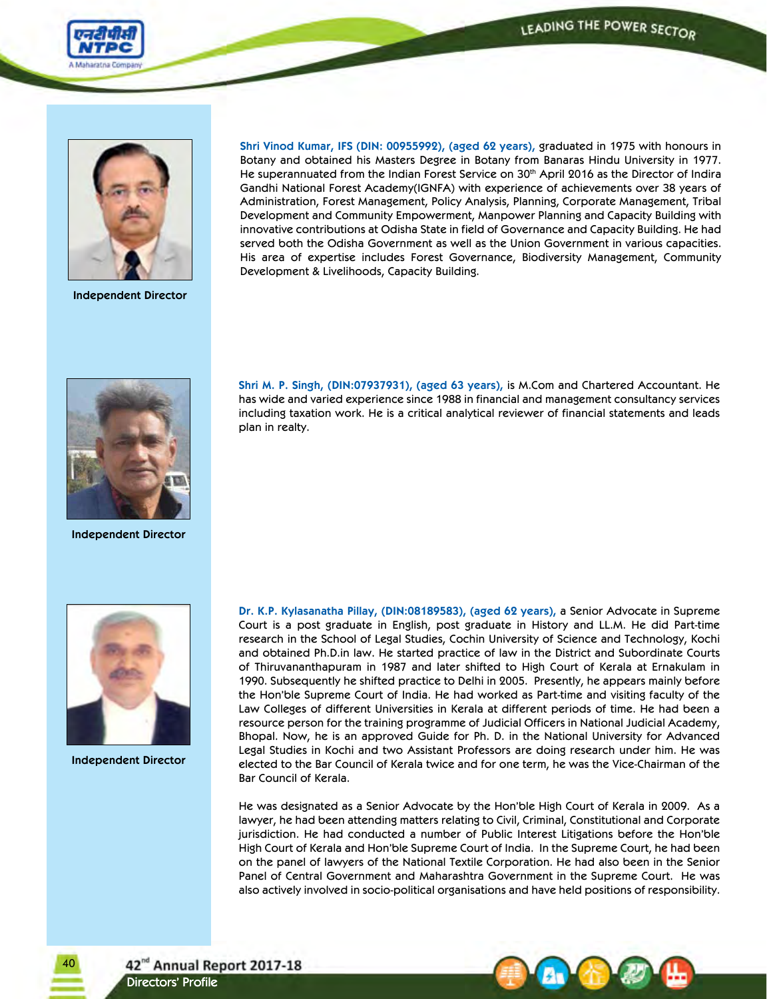



**Independent Director**

**Shri Vinod Kumar, IFS (DIN: 00955992), (aged 62 years),** graduated in 1975 with honours in Botany and obtained his Masters Degree in Botany from Banaras Hindu University in 1977. He superannuated from the Indian Forest Service on 30<sup>th</sup> April 2016 as the Director of Indira Gandhi National Forest Academy(IGNFA) with experience of achievements over 38 years of Administration, Forest Management, Policy Analysis, Planning, Corporate Management, Tribal Development and Community Empowerment, Manpower Planning and Capacity Building with innovative contributions at Odisha State in field of Governance and Capacity Building. He had served both the Odisha Government as well as the Union Government in various capacities. His area of expertise includes Forest Governance, Biodiversity Management, Community Development & Livelihoods, Capacity Building.



**Independent Director**

**Shri M. P. Singh, (DIN:07937931), (aged 63 years),** is M.Com and Chartered Accountant. He has wide and varied experience since 1988 in financial and management consultancy services including taxation work. He is a critical analytical reviewer of financial statements and leads plan in realty.



**Independent Director**

40

**Dr. K.P. Kylasanatha Pillay, (DIN:08189583), (aged 62 years),** a Senior Advocate in Supreme Court is a post graduate in English, post graduate in History and LL.M. He did Part-time research in the School of Legal Studies, Cochin University of Science and Technology, Kochi and obtained Ph.D.in law. He started practice of law in the District and Subordinate Courts of Thiruvananthapuram in 1987 and later shifted to High Court of Kerala at Ernakulam in 1990. Subsequently he shifted practice to Delhi in 2005. Presently, he appears mainly before the Hon'ble Supreme Court of India. He had worked as Part-time and visiting faculty of the Law Colleges of different Universities in Kerala at different periods of time. He had been a resource person for the training programme of Judicial Officers in National Judicial Academy, Bhopal. Now, he is an approved Guide for Ph. D. in the National University for Advanced Legal Studies in Kochi and two Assistant Professors are doing research under him. He was elected to the Bar Council of Kerala twice and for one term, he was the Vice-Chairman of the Bar Council of Kerala.

He was designated as a Senior Advocate by the Hon'ble High Court of Kerala in 2009. As a lawyer, he had been attending matters relating to Civil, Criminal, Constitutional and Corporate jurisdiction. He had conducted a number of Public Interest Litigations before the Hon'ble High Court of Kerala and Hon'ble Supreme Court of India. In the Supreme Court, he had been on the panel of lawyers of the National Textile Corporation. He had also been in the Senior Panel of Central Government and Maharashtra Government in the Supreme Court. He was also actively involved in socio-political organisations and have held positions of responsibility.